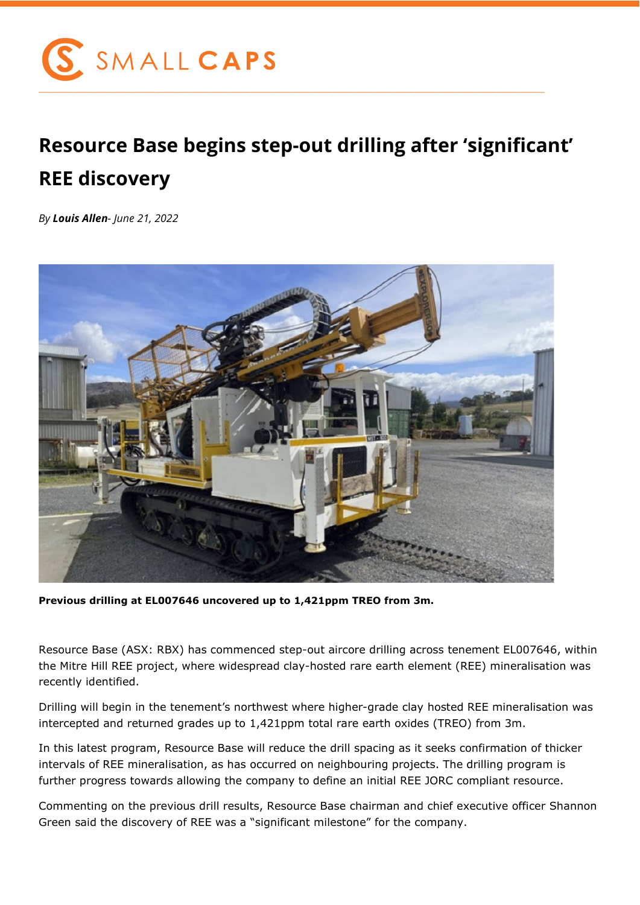

## **Resource Base begins step-out drilling after 'significant' REE discovery**

*By Louis Allen- June 21, 2022*



**Previous drilling at EL007646 uncovered up to 1,421ppm TREO from 3m.**

Resource Base (ASX: RBX) has commenced step-out aircore drilling across tenement EL007646, within the Mitre Hill REE project, where widespread clay-hosted rare earth element (REE) mineralisation was recently identified.

Drilling will begin in the tenement's northwest where higher-grade clay hosted REE mineralisation was intercepted and returned grades up to 1,421ppm total rare earth oxides (TREO) from 3m.

In this latest program, Resource Base will reduce the drill spacing as it seeks confirmation of thicker intervals of REE mineralisation, as has occurred on neighbouring projects. The drilling program is further progress towards allowing the company to define an initial REE JORC compliant resource.

Commenting on the previous drill results, Resource Base chairman and chief executive officer Shannon Green said the discovery of REE was a "significant milestone" for the company.